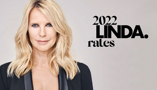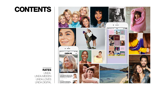# **CONTENTS**

RATES [LINDA.](#page-2-0) [LINDA.MEIDEN](#page-3-0) [LINDA.LOVES](#page-6-0) [LINDA.DIGITAL](#page-7-0) 

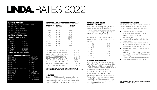# <span id="page-2-0"></span>LINDA.RATES 2022

#### FACTS & FIGURES

|                                     | 198,394 DISTRIBUTED CIRCULATION* |
|-------------------------------------|----------------------------------|
| 250,000 PRINT RUN                   |                                  |
| 110,000 SUBSCRIBERS                 |                                  |
| 990,000 AVERAGE REACH**             |                                  |
| 12 ISSUES A YEAR $+$                |                                  |
| 1 I INDA SUMMER SPECIAL             |                                  |
| *NOM MEDIA Q4 2020 T/M Q3 2021      |                                  |
| <b>**NOM PRINT MONITOR 2021-III</b> |                                  |
| <b>RATES*</b>                       |                                  |
| 1 PAGF                              | € 13.499                         |
| 2 PAGES                             | € 13.199                         |
| 3 PAGES                             | € 12.999                         |
| 4 PAGES                             | € 12,799                         |
| 5 PAGES                             | € 12.599                         |
| 6 PAGES                             | € 12.299                         |
| * RATES LISTED ARE RATES PER PAGE   |                                  |

#### 2022 PUBLICATION DATES

| <b>I INDA, 211</b><br><b>I INDA, 212</b><br><b>I INDA, 213</b><br><b>I INDA, 214</b> | 19, JANI JARY<br>16 FFBRUARY<br>16 MARCH<br>$20$ APRII |
|--------------------------------------------------------------------------------------|--------------------------------------------------------|
| <b>I INDA, 215</b>                                                                   | <b>18 MAY</b>                                          |
| <b>I INDA, 216</b>                                                                   | 15 JUNE                                                |
| I INDA. SUMMER SPECIAI — 22 JUNE                                                     |                                                        |
| <b>I INDA, 217</b>                                                                   | 20 JULY                                                |
| <b>I INDA, 218</b>                                                                   | 17 AUGUST                                              |
| <b>I INDA, 219</b>                                                                   | 21 SFPTFMBFR                                           |
| <u>I INDA, 220</u>                                                                   | 19 OCTOBER                                             |
| <b>LINDA, 221</b>                                                                    | 16 NOVEMBER                                            |
| I INDA. 222                                                                          | 21 DECEMBER                                            |
|                                                                                      |                                                        |

#### NONSTANDARD ADVERTISING MATERIALS

| <b>NUMBER OF</b>               | LEAFLET        | <b>LEAFLAT IN</b> |          |
|--------------------------------|----------------|-------------------|----------|
| <b>PAGES</b>                   | <b>INSERT*</b> | <b>ADHESIVE*</b>  |          |
| 2 PAG.                         | € 125          | € 125             |          |
| 4 PAG.                         | € 150          | € 150             |          |
| 6 PAG.                         | € 160          | € 160             |          |
| 8 PAG.                         | € 165          | € 165             |          |
| 12 PAG.                        | € 175          | € 175             |          |
| 16 PAG.                        | € 185          | € 185             |          |
| 20 PAG. I                      | € 200          | € 200             |          |
| 24 PAG.                        | € 205          | € 205             |          |
| 32 PAG.                        | € 225          | € 225             |          |
| I OYAI TY CARD TOTAI PRINT RUN |                |                   | € 32,500 |
| LOYALTY CARD SUBSCRIBERS       |                |                   | € 16,250 |
| SAI ES CARD TOTAI PRINT RUN    |                |                   | € 28.750 |
| SAI ES CARD SUBSCRIBERS        |                |                   | € 14.375 |
| COVER PASS TOTAL PRINT RUN     |                |                   | € 40.000 |
| ADHESIVE CARD STARTING FROM    |                |                   | € 65*    |
| SACHET STARTING FROM           |                |                   | $∈ 90*$  |
| PREMIUM PRINT PROPOSITIONS     |                |                   | CUSTOM   |
| CUSTOM MADE MAGAZINE           |                |                   | CUSTOM   |

#### **NONSTANDARD ADVERTISING MATERIALS ARE SUBJECT TO AVAILABILITY AND THE RATES LISTED ARE SUBJECT TO A MOCK-UP.**

#### \*CHARGES

Charges per 1,000 copies, including adhesive and pasting charges. Excluding VAT and printing charges. Technical charges from €31 per 1,000 copies, to be inserted separately/placed separately for leaflets.

#### SURCHARGE TO COVER SHIPPING CHARGES

Subscriptions-only extra services such as perfect bound (Lumbeck), pasting or inserting nonstandard advertising materials with a weight **exceeding 25 grams** are subject to the following surcharges:

Surcharge per 1,000 copies ex VAT (no discounts apply to surcharges on shipping charges)

| $25 - 50$   | € 10 |
|-------------|------|
| $51 - 75$   | € 16 |
| $76 - 100$  | € 26 |
| $101 - 125$ | € 35 |
| $126 - 150$ | € 43 |
| $151 - 175$ | € 52 |
| $176 - 200$ | € 61 |
| 201 – 225   | € 69 |
|             |      |

#### GENERAL INFORMATION

All assignments are completed in accordance with the General Terms and Conditions dated the 1st of January 2022. All nonstandard advertising materials stated in this rate card will be calculated based on the printed circulation number, which is available on request. At least 1/1 page should be purchased for sachets and adhesive cards. For the delivery of non-standard advertising materials, Terms of Delivery apply to inserts, sachets, etc. unless otherwise agreed with the Sales Support department.

#### INSERT SPECIFICATIONS

The bullet points below provide details on specific products listed in the rate chart LINDA. nonstandard advertising materials

- Minimum purchase is the current subscription base. A 15% surcharge applies if there is a drop in the subscription base.
- Inserts should always be smaller than the magazine size.
- Prices are approximate; we can quote a final rate after we have received a mock-up. Loose leaflets can be inserted into
- unsealed magazines provided their weight allows this.
- MfM is not liable for any expenses incurred
- by the customer, unless MfM has agreed to this in writing.
- Deadline for cancellation should be set at
- least 2 months before the closing date.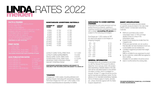# <span id="page-3-0"></span>LINDA.RATES 2022 merer

#### FACTS & FIGURES

| 53,644 DISTRIBUTED CIRCULATION*                |
|------------------------------------------------|
| 85,000 PRINT RUN                               |
| 20,000 SUBSCRIBERS                             |
| <b>PUBLICATION FREQUENCY 4 ISSUES A YEAR +</b> |
| SUMMER SPECIAL & WINTER SPECIAL                |
| IN STORES FOR 8-10 WEEKS                       |
| OWN FEATURE ON LINDA.NL                        |
| 100,000 INSTAGRAM FOLLOWERS                    |
| 62,900 YOUTUBE SUBSCRIBERS                     |
| *NOM MEDIA Q4 2020 T/M Q3 2021                 |

#### PRINT RATES

| 1/1 PAGE PRINT                                 | € 6.900   |
|------------------------------------------------|-----------|
| 2/1 PAGF PRINT                                 | € 13.800  |
| 1/1 ADVERTORIAI PAGE PRINT                     | 1€ 7.935* |
| 2/1 ADVERTORIAI PAGE PRINT                     | € 15.870* |
| *EXCLUDING PRODUCTION COSTS STARTING AT €2,500 |           |

#### 2022 PUBLICATION DATES

| TINDA.MEIDEN 36          | 4 JANUARY   |
|--------------------------|-------------|
| TINDA.MEIDEN 37          | 22 FFBRUARY |
| TINDA MEIDEN 38          | 26 APRIL    |
| I INDA.MFIDFN ZOMFBBOEK. | 21 JUNE     |
| 'I INDA.MEIDEN 39.       | 30 AUGUST   |
| I INDA MEIDEN WINTERBOEK | 1 NOVEMBER  |

#### NONSTANDARD ADVERTISING MATERIALS **INSERT SPECIFICATIONS** SURCHARGE TO COVER SHIPPING **INSERT SPECIFICATIONS**

| NUMBER OF<br><b>PAGES</b>                                                                                                                                                                                                                                                                             | <b>LEAFLET</b><br><b>INSERT*</b>                                                                                                               | <b>LEAFLAT IN</b><br><b>ADHESIVE*</b> |  |
|-------------------------------------------------------------------------------------------------------------------------------------------------------------------------------------------------------------------------------------------------------------------------------------------------------|------------------------------------------------------------------------------------------------------------------------------------------------|---------------------------------------|--|
| 2 PAG. € 125<br>32 PAG. € 225                                                                                                                                                                                                                                                                         | 4 PAG. € 150 € 150<br>6 PAG. € 160<br>8 PAG. € 165 € 165<br>12 PAG. € 175 € 175<br>16 PAG. € 185<br>20 PAG. € 200 € 200<br>24 PAG. € 205 € 205 | € 125<br>€ 160<br>€ 185<br>€ 225      |  |
| LOYALTY CARD TOTAL PRINT RUN<br>€ 11,000<br>LOYALTY CARD SUBSCRIBERS<br>€ 5,500<br>SALES CARD TOTAL PRINT RUN<br>€ 9,000<br>COVER PASS TOTAL PRINT RUN $\epsilon$ 15,000<br>ADHESIVE CARD STARTING FROM<br>€ 65*<br>SACHET STARTING FROM<br>€ 90*<br>NONSTANDARD ADVERTISING MATERIALS ARE SUBJECT TO |                                                                                                                                                |                                       |  |
|                                                                                                                                                                                                                                                                                                       |                                                                                                                                                |                                       |  |

### **AVAILABILITY AND THE RATES LISTED ARE SUBJECT TO A MOCK-UP.**

#### \*CHARGES

Charges per 1,000 copies, including adhesive and pasting charges. Excluding VAT and printing charges. Technical charges from €31 per 1,000 copies, to be inserted separately/placed separately for leaflets.

#### SURCHARGE TO COVER SHIPPING **CHARGES**

Subscriptions-only extra services such as perfect bound (Lumbeck), pasting or inserting nonstandard advertising materials with a weight **exceeding 25 grams** are subject to the following surcharges:

Surcharge per 1,000 copies ex VAT (no discounts apply to surcharges on shipping charges)

| $25 - 50$   | € 10 |
|-------------|------|
| $51 - 75$   | € 16 |
| $76 - 100$  | € 26 |
| $101 - 125$ | € 35 |
| $126 - 150$ | € 43 |
| $151 - 175$ | € 52 |
| $176 - 200$ | €61  |
| 201 – 225   | € 69 |
|             |      |

#### GENERAL INFORMATION

All assignments are completed in accordance with the General Terms and Conditions dated the 1st of January 2022. All nonstandard advertising materials stated in this rate card will be calculated based on the printed circulation number, which is available on request. At least 1/1 page should be purchased for sachets and adhesive cards. For the delivery of non-standard advertising materials, Terms of Delivery apply to inserts, sachets, etc. unless otherwise agreed with the Sales Support department.

The bullet points below provide details on specific products listed in the rate chart LINDA.meiden nonstandard advertising materials

- Minimum purchase is the current subscription base. A 15% surcharge applies if there is a drop in the subscription base.
- Inserts should always be smaller than the magazine size.
- Prices are approximate; we can quote a final rate after we have received a mock-up. Loose leaflets can be inserted into
- unsealed magazines provided their weight allows this.

MfM is not liable for any expenses incurred

- by the customer, unless MfM has agreed to this in writing. Deadline for cancellation should be set at
- least 2 months before the closing date.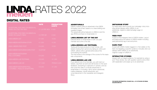

## DIGITAL RATES

|                                                                     | <b>RATE</b>             | <b>PRODUCTION</b><br><b>COSTS</b> |
|---------------------------------------------------------------------|-------------------------|-----------------------------------|
| ADVERTORIAL ROS FIXED ON MEIDEN.NL<br><b>BASED ON COST PER VIEW</b> | € 1.25 PER VIEW $∈$ 500 |                                   |
| ADVERTORIAL ROS FIXED ON MEIDEN.NL<br><b>BASED ON QUALITY READ</b>  | $E$ 2 PER QR            | €500                              |
| <b>LINDA.MEIDEN LIST</b>                                            | € 1.000                 | € 250                             |
| <b>LINDA, MEIDEN INSTAGRAM STORY</b>                                | € 1.500                 | € 250                             |
| LINDA, MEIDEN FEED POST                                             | € 4.000                 | € 500                             |
| I INDA.MEIDEN INSTAGRAM DARK-POST                                   | <b>CUSTOM</b>           |                                   |
| <b>LINDA.MEIDEN INSTAGRAM-</b><br>POLL (3 STORIES)                  | € 4,000                 | €750                              |
| <b>LINDA.MEIDEN-LAB TESTPANEL</b>                                   | € 6.500                 | € 1,000                           |
| <b>LINDA.MEIDEN-LAB LIVE</b>                                        | € 11,000                | FROM € 2,500                      |
| LINDA, MEIDEN INSTAGRAM-POLL<br>(3 STORIES) + RESULTS ADVERTORIAL   | € 6.000                 | € 1.250                           |

#### ADVERTORIALS

LINDA.nl editors write an advertorial in the LINDA. nl/meiden look & feel, based on a clear briefing and supplied images.

The advertorial will be featured on LINDA.nl and the app (ROS) and fixed on lindameiden.nl.

#### LINDA.MEIDEN LIST OF THE DAY

Editorial article on lindameiden.nl with one paid member and a link to the site.

#### LINDA.MEIDEN-LAB TESTPANEL

Testing all the best products in their homes, with testers sharing their opinions by taking an online poll. LINDA. editors write a general article about this summarizing the reviews. The final review is the average of the scores for the sepa-

rate components.

#### LINDA.MEIDEN-LAB LIVE

If you attend one of our live labs, you will meet our testers, see them at work and will receive on-the-spot feedback. Everything is captured on camera, and we then post this video in a results advertorial on lindameiden.nl. Including: call-to-action advertorial, mailing database, results advertorial, and cross placement in the newsletter and Instagram Story.

#### INSTAGRAM STORY

For extra reach and to boost your campaign: story including sticker (always within LINDA.) to an advertorial, original or pillar/campaign page on LINDA.nl.

#### FEED POST

A post on the Instagram feed of LINDA.meiden. Layout and approval by the editors of LINDA.meiden including paid partnership tag in text and photo.

#### DARK POST

A post with LINDA.meiden tagged in it. Not visible on the feed, but targeting a specific audience. Includes click-out (always within LINDA.) to an advertorial, original or page on LINDA.nl.

#### INTERACTIVE STORIES

Interact with our target audience, for example by using a poll: Three stories, two with question options and a third with explanation and swipe-up to an advertorial.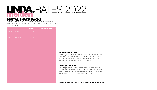

### DIGITAL SNACK PACKS

Connect your brand to the LINDA.meiden content with a combination of spot advertising andadvertiser-funded programming (i.e. branded content) on LINDA.meiden.nl.

|                          | <b>RATE</b> | <b>PRODUCTION COSTS</b> |
|--------------------------|-------------|-------------------------|
| <b>MEDIUM SNACK PACK</b> | € 5,000     | €750                    |
| LARGE SNACK PACK         | € 9,000     | € 1,500                 |
|                          |             |                         |
|                          |             |                         |
|                          |             |                         |

#### MEDIUM SNACK PACK

Consisting of an advertorial. The advertorial will be featured on LIN-DA.nl and the app (ROS) and fixed on lindameiden.nl. Instagram Story on LINDA.meiden's Instagram and a Medium rectangle/ half-page banner 100,000 impressions on LINDA.nl.

#### LARGE SNACK PACK

Consisting of two advertorials. The advertorials will be featured on LINDA.nl and the app (ROS) and fixed on lindameiden.nl. Two Instagram Stories on LINDA.meiden's Instrgam and a Medium rectangle/ half-page banner 150,000 impressions on LINDA.nl.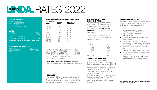# <span id="page-6-0"></span>LOVES DA, RATES 2022

NUMBER OF PAGES

#### FACTS & FIGURES

80,000 PRINT RUN 15,000 SUBSCRIBERS 3 TIMES A YEAR. IN STORES FOR 12 WEEKS

#### RATES

| $1/1$ PAGF                                     | € 7.920           |
|------------------------------------------------|-------------------|
| 2/1 PAGE                                       | € 15.840          |
| 1/1 ADVERTORIAI PAGE                           | $\epsilon$ 9.108* |
| 2/1 ADVERTORIAI PAGE                           | € 18.216*         |
| *EXCLUDING PRODUCTION COSTS STARTING AT €2.500 |                   |

#### 2022 PUBLICATION DATES

| 1 MARCH'    |
|-------------|
| 6 SFPTFMBFR |
| 8 NOVEMBER  |
|             |

| 2 PAG.  | € 125                          | € 125 |          |
|---------|--------------------------------|-------|----------|
| 4 PAG.  | € 150                          | € 150 |          |
| 6 PAG.  | € 160                          | € 160 |          |
| 8 PAG.  | € 165                          | € 165 |          |
| 12 PAG. | € 175                          | € 175 |          |
| 16 PAG. | € 185                          | € 185 |          |
| 20 PAG. | € 200                          | € 200 |          |
| 24 PAG. | € 205                          | € 205 |          |
| 32 PAG. | € 225                          | € 225 |          |
|         |                                |       |          |
|         |                                |       |          |
|         |                                |       |          |
|         | I OYAI TY CARD TOTAI PRINT RUN |       | € 13,000 |
|         | I OYAI TY CARD SUBSCRIBERS     |       | € 6.500  |
|         | SAI FS CARD TOTAI PRINT RUN    |       | € 11,000 |

NONSTANDARD ADVERTISING MATERIALS

LEAFLET INSERT\*

LEAFLAT IN ADHESIVE\*

| SAI ES CARD TOTAI PRINT RUN. | € 11.000 |
|------------------------------|----------|
| COVER PASS TOTAL PRINT RUN   |          |
|                              | € 15.000 |
| ADHESIVE CARD STARTING FROM  | € 65*    |
| SACHFT STARTING FROM         | $∈ 90*$  |
|                              |          |

#### **NONSTANDARD ADVERTISING MATERIALS ARE SUBJECT TO AVAILABILITY AND THE RATES LISTED ARE SUBJECT TO A MOCK-UP.**

#### \*CHARGES

Charges per 1,000 copies, including adhesive and pasting charges. Excluding VAT and printing charges. Technical charges from €31 per 1,000 copies, to be inserted separately/placed separately for leaflets.

#### SURCHARGE TO COVER SHIPPING CHARGES

Subscriptions-only extra services such as perfect bound (Lumbeck), pasting or inserting nonstandard advertising materials with a weight **exceeding** 25 arams are subject to the following surcharges:

Surcharge per 1,000 copies ex VAT (no discounts apply to surcharges on shipping charges)

| € 10 |
|------|
| € 16 |
| € 26 |
| € 35 |
| € 43 |
| € 52 |
| € 61 |
| € 69 |
|      |

#### GENERAL INFORMATION

All assignments are completed in accordance with the General Terms and Conditions dated the 1st of January 2022. All nonstandard advertising materials stated in this rate card will be calculated based on the printed circulation number, which is available on request. At least 1/1 page should be purchased for sachets and adhesive cards. For the delivery of non-standard advertising materials, Terms of Delivery apply to inserts, sachets, etc. unless otherwise agreed with the Sales Support department.

#### INSERT SPECIFICATIONS

The bullet points below provide details on specific products listed in the rate chart LINDA.loves nonstandard advertising materials

- Minimum purchase is the current subscription base. A 15% surcharge applies if there is a drop in the subscription base.
- Inserts should always be smaller than the magazine size.
- Prices are approximate; we can quote a final rate after we have received a mock-up. Loose leaflets can be inserted into unsea-
- led magazines provided their weight allows this.
- MfM is not liable for any expenses incurred
- by the customer, unless MfM has agreed to this in writing.
- Deadline for cancellation should be set at
- least 2 months before the closing date.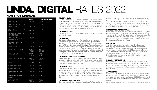### <span id="page-7-0"></span>NON SPOT LINDA.NL

|                                              | <b>RATE</b>                       | <b>PRODUCTION COSTS</b> |
|----------------------------------------------|-----------------------------------|-------------------------|
| <b>ADVERTORIAL</b>                           | €4.500                            | € 500                   |
| ADVERTORIAL BASED ON<br><b>COST PER VIEW</b> | € 1.25<br>PFR VIFW                | € 500                   |
| ADVERTORIAL BASED ON<br><b>OUAL ITY READ</b> | $\epsilon$ <sub>2</sub><br>PFR OR | € 500                   |
| ADVERTORIAL BEST OF<br><b>NEWSLETTER</b>     | € 4.000                           |                         |
| ADVERTORIAL LUNCH<br><b>NEWSI FTTER</b>      | € 3,500                           |                         |
| CROSS-PLACEMENT<br><b>ADVERTORIAL RITS</b>   | € 2.500                           | €500                    |
| LINDA.LOVES-LIST                             | € 1,500                           | € 250                   |
| LINDA,LAB TEST PANEL                         | <b>FROM</b><br>€ 7,500            | <b>FROM</b><br>€ 1,000  |
| <b>LINDA.LAB LIVE</b>                        | <b>FROM</b><br>€ 16,000           | <b>FROM</b><br>€ 5,000  |
| LINDA.LAB COMBINATION                        | <b>FROM</b><br>$\epsilon$ 20,000  | <b>FROM</b><br>€ 5,000  |
| LINDA.QUIZ                                   | € 17,500                          | € 3,000                 |
| CALENDER LARGE                               | € 44,000                          | € 8,000                 |
| CALENDER SMALL                               | € 15,000                          | € 1,500                 |
| <b>DOMAIN PROPOSITION</b><br>LARGE           | € 30,000                          | € 3,000                 |
| DOMAIN PROPOSITION<br><b>SMALL</b>           | € 20,000                          | € 2,000                 |
| <b>ACTION PAGE</b>                           | <b>FROM</b><br>€ 30,000           | <b>FROM</b><br>€ 3,000  |

#### ADVERTORIALS

LINDA.nl editors write an advertorial in the LINDA. look & feel, based on a clear briefing and supplied images. The advertorial will be featured for one week on LINDA.nl and in the app (ROS). AdvertorialRits, a collection of at least three cross-placement advertorials in one series including recognizable branding from advertisers. Also pay based on cost per view and pay based on quality read available.

#### LINDA.LOVES LIST

Editorial article on LOVES pillar on LINDA.nl with one paid participant and a link to the site.

#### LINDA.QUIZ

Compete in quizzes together with the most fun-loving women in the Netherlands; 8 open-ended and/or closed-ended questions Interaction, education and brand experience with LINDA. readers in a fun and playful way with the signature LINDA. twist. There are two playing options to choose from: a 'knowledge quiz' or 'what kind of type are you' quiz. The quiz consists of 1 advertorial on LINDA.nl, including cross-placement in the app, 1 cross-placement in the newsletter and 2 Instagram Stories, including teaser to the quiz, a fixed quiz banner on LINDA.nl and a co-branded banner.

#### LINDA.LAB: LINDA'S TEST PANEL

Testing all the best products in their homes, with testers sharing their opinions by taking an online poll. LINDA. editors write a general article about this summarizing the reviews. The final review is the average of the scores for the separate components.

#### LINDA.LAB LIVE

If you attend one of our live labs, you will meet our testers, see them at work and will receive on-the-spot feedback. Everything is captured on camera, and we then post this video in a results advertorial on LINDA.nl, including call-to-action advertorial, mailing database, results advertorial, and cross-placement in the news-letter and Instagram Story.

#### LINDA.LAB COMBINATION

Does your product require a personal experience? Would you like to

be able to capture and share experiences from LINDA. testers and provide readers with extra information and reviews on your product? A LINDA.LAB COMBINATION will make sure that you will achieve the maximum. Results of personal testing at home will be shared in an editorial online. Furthermore, personal stories from testers will be shared through a lab video in an online advertorial.

#### NEWSLETTER ADVERTORIAL

Cross-placement of the advertorial in the LINDA newsletter. Daily mix of news highlights on LINDA.nl: packed with news items, human-interest stories, the best lifestyle tips and the most popular articles. The 'Lunch' newsletter is sent out every Monday to Friday around lunchtime to a large number of subscribers. The 'Best of' newsletter is sent out every Tuesday and Friday.

#### **CALENDER**

Counting down for four weeks using the LINDA.nl calendar. Featuring inspirational content, humour, items to be won and valuable tips. Editorial content interspersed with advertorials and content present throughout the entire LINDA.nl platform. Content: 4 ROS advertorials fixed in the calendar with cross-placement in the newsletter, 4 Instagram Stories, 2 competitions, 400,000 impressions (banners) and an editorial article including link. Also available in small version.

#### DOMAIN PROPOSITION

For advertisers, 2 or 4 weeks of sponsorship of a pillar on LINDA. nl. Fashion, Beauty, Travel, Living, etc. Content: sponsored header, content banner for articles, advertorials, newsletter, Instagram Stories and bannering medium rectangle, skyscraper and leaderboard on pillar and ROS.

#### ACTION PAGE

Within a LINDA pl domain for a minimum of 2 weeks. Your own branded-content platform, including sponsored header, content banner for articles, branded or co-branded banner (300,000 impressions), 2 advertorials with cross-placement in the newsletter and 2 Instagram Stories.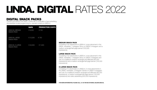### DIGITAL SNACK PACKS

Connect your brand to the LINDA. content with a combination of spot advertising and advertiser-funded programming (i.e. branded content) on LINDA.nl.

|                                       | <b>RATE</b> | <b>PRODUCTION COSTS</b> |
|---------------------------------------|-------------|-------------------------|
| LINDA.NL MEDIUM<br><b>SNACK PACK</b>  | € 9,250     | €750                    |
| LINDA.NL LARGE<br><b>SNACK PACK</b>   | € 12,250    | €750                    |
| LINDA.NL X-LARGE<br><b>SNACK PACK</b> | € 24,500    | € 1,500                 |
|                                       |             |                         |

#### MEDIUM SNACK PACK

Consisting of an advertorial on LINDA.nl, cross-placement in the LINDA. newsletter, 1 Instagram Story on LINDA.'s Instagram and a medium rectangle/half-page banner (150,000 impressions).

#### LARGE SNACK PACK

Consisting of an advertorial on LINDA.nl, cross-placement in the LINDA. newsletter, 1 Instagram Story on LINDA.'s Instagram and use of a roadblock (medium rectangle and billboard) (85,000 impressions) and a medium rectangle/half-page banner (150,000 impressions).

#### X-LARGE SNACK PACK

Consisting of 2 advertorials on LINDA.nl, 2 cross-placements in the LINDA. newsletter, 2 Instagram Stories on LINDA.'s Instagram and use of a roadblock (medium rectangle and billboard) (85,000 impressions), a medium rectangle/half-page banner (150,000 impressions) and video advertising (250,000 impressions).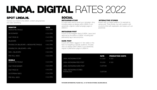## SPOT LINDA**.**NL

Connect your brand to the LINDA. content using banners and video advertising.

| <b>DESKTOP</b>                                                            | <b>RATE</b>       |
|---------------------------------------------------------------------------|-------------------|
| MEDIUM RECTANGLE                                                          | $\epsilon$ 25 CPM |
| <b>SKYSCRAPFR</b>                                                         | $\epsilon$ 35 CPM |
| <b>HALF-PAGE AD</b>                                                       | $€.45$ CPM        |
| <b>BILLBOARD</b>                                                          | $\in$ 45 CPM      |
| $\overline{ROADBLOCK}$ (BILLBOARD + MEDIUM RECTANGLE) $\qquad \in 65$ CPM |                   |
| ROADBLOCK (BILLBOARD + HPA)                                               | $€.85$ CPM        |
| <b>SKIN + BILLBOARD</b>                                                   | $\epsilon$ 90 CPM |
| PRE-ROLL VIDEO                                                            | $€$ 32 CPM        |
| <b>MOBILE</b>                                                             |                   |
| MEDIUM RECTANGLE                                                          | $∈$ 25 CPM        |
| <b>HAI F-PAGF BANNER</b>                                                  | $€$ 25 CPM        |
| HAI F PAGF AD                                                             | $€.45$ CPM        |
| <b>OUTSTREAM VIDEO</b>                                                    | $€$ 34 CPM        |
| PRE-ROLL VIDEO                                                            | $\in$ 32 CPM      |

### SOCIAL INSTAGRAM-STORY

For extra reach and to boost your campaign: story including swipe-up (always within LINDA.) to an advertorial, original or pillar/campaign page on LINDA.nl.

#### INSTAGRAM POST

A post on the Instagram feed of LINDA. Layout and approval by the editors of LINDA. including paid partnership tag in text and photo.

#### DARK POST

A post with LINDA. tagged in it. Not visible on the feed, but targeting a specific audience. Includes click-out (always within LINDA.) to an advertorial, original or pillar/action page on LINDA.nl.

#### INTERACTIVE STORIES

Interact with our target audience, for example by using a poll: Three stories, two with question options and a third with explanation and swipe-up to an advertorial.

|                                                | <b>RATE</b>   | <b>PRODUCTION COSTS</b> |
|------------------------------------------------|---------------|-------------------------|
| LINDA. INSTAGRAM STORY                         | € 3,500       | € 250                   |
| LINDA, INSTAGRAM FEED POST                     | € 8,000       | € 500                   |
| LINDA, INSTAGRAM DARK-POST                     | <b>CUSTOM</b> |                         |
| LINDA, INSTAGRAM STORIES<br><b>INTERACTIVE</b> | <b>CUSTOM</b> |                         |